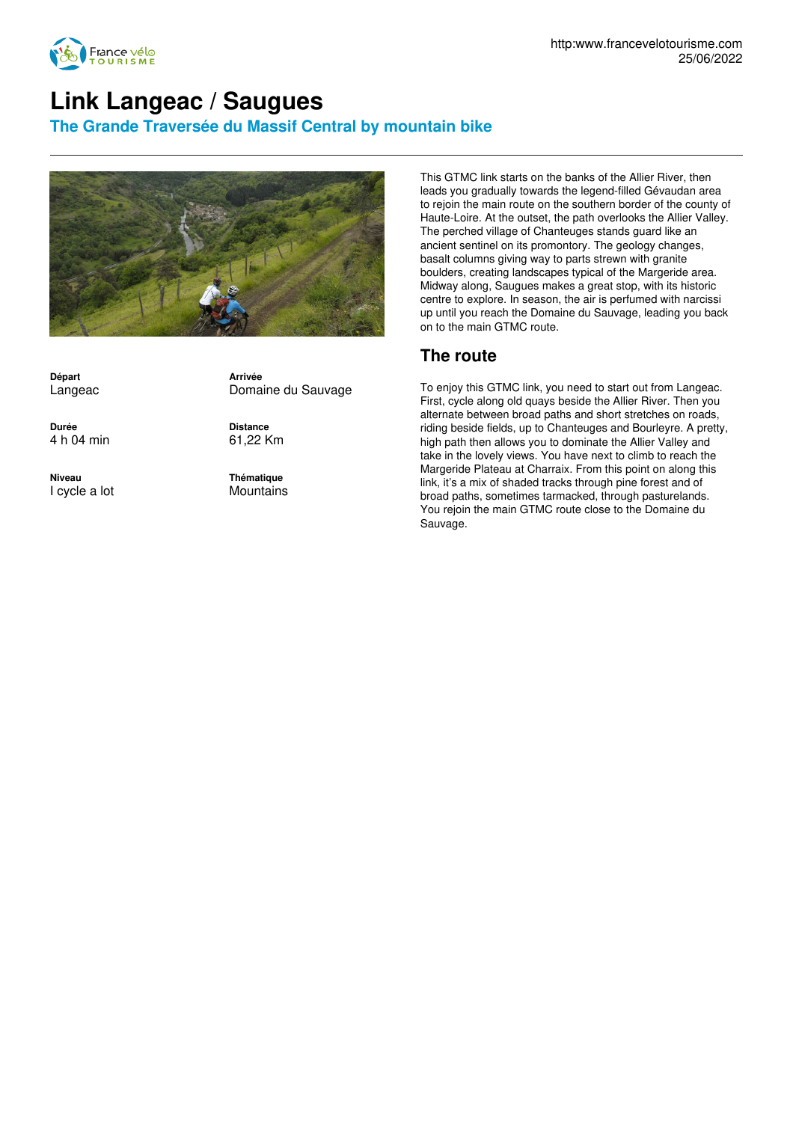

## **Link Langeac / Saugues**

**The Grande Traversée du Massif Central by mountain bike**



**Départ** Langeac

**Durée** 4 h 04 min

**Niveau** I cycle a lot **Arrivée** Domaine du Sauvage

**Distance** 61,22 Km

**Thématique Mountains** 

This GTMC link starts on the banks of the Allier River, then leads you gradually towards the legend-filled Gévaudan area to rejoin the main route on the southern border of the county of Haute-Loire. At the outset, the path overlooks the Allier Valley. The perched village of Chanteuges stands guard like an ancient sentinel on its promontory. The geology changes, basalt columns giving way to parts strewn with granite boulders, creating landscapes typical of the Margeride area. Midway along, Saugues makes a great stop, with its historic centre to explore. In season, the air is perfumed with narcissi up until you reach the Domaine du Sauvage, leading you back on to the main GTMC route.

## **The route**

To enjoy this GTMC link, you need to start out from Langeac. First, cycle along old quays beside the Allier River. Then you alternate between broad paths and short stretches on roads, riding beside fields, up to Chanteuges and Bourleyre. A pretty, high path then allows you to dominate the Allier Valley and take in the lovely views. You have next to climb to reach the Margeride Plateau at Charraix. From this point on along this link, it's a mix of shaded tracks through pine forest and of broad paths, sometimes tarmacked, through pasturelands. You rejoin the main GTMC route close to the Domaine du Sauvage.